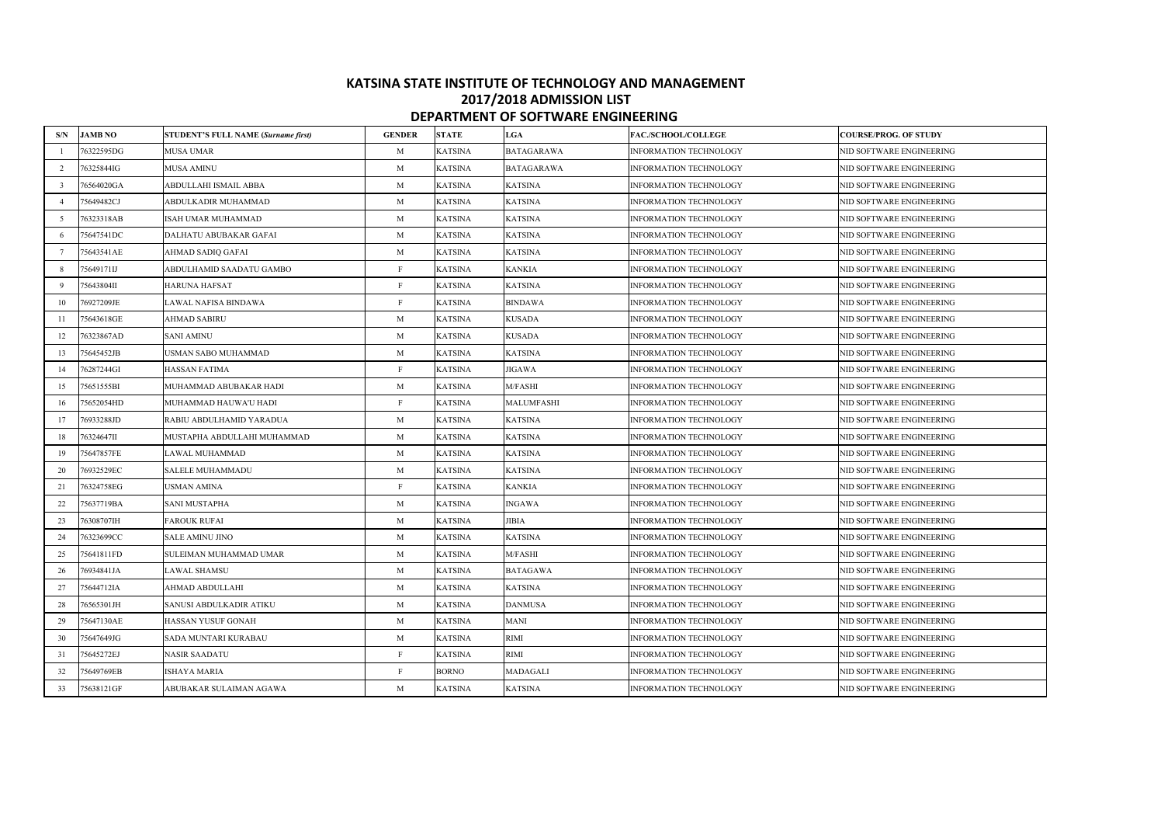## **KATSINA STATE INSTITUTE OF TECHNOLOGY AND MANAGEMENT 2017/2018 ADMISSION LIST DEPARTMENT OF SOFTWARE ENGINEERING**

| S/N             | <b>JAMB NO</b> | <b>STUDENT'S FULL NAME (Surname first)</b> | <b>GENDER</b> | <b>STATE</b>   | <b>LGA</b>      | FAC./SCHOOL/COLLEGE           | <b>COURSE/PROG. OF STUDY</b> |
|-----------------|----------------|--------------------------------------------|---------------|----------------|-----------------|-------------------------------|------------------------------|
|                 | 76322595DG     | MUSA UMAR                                  | M             | KATSINA        | BATAGARAWA      | <b>INFORMATION TECHNOLOGY</b> | NID SOFTWARE ENGINEERING     |
| 2               | 76325844IG     | MUSA AMINU                                 | M             | KATSINA        | BATAGARAWA      | INFORMATION TECHNOLOGY        | NID SOFTWARE ENGINEERING     |
| $\overline{3}$  | 76564020GA     | ABDULLAHI ISMAIL ABBA                      | M             | KATSINA        | <b>KATSINA</b>  | <b>INFORMATION TECHNOLOGY</b> | NID SOFTWARE ENGINEERING     |
| $\overline{4}$  | 75649482CJ     | ABDULKADIR MUHAMMAD                        | M             | KATSINA        | <b>KATSINA</b>  | INFORMATION TECHNOLOGY        | NID SOFTWARE ENGINEERING     |
| - 5             | 76323318AB     | <b>ISAH UMAR MUHAMMAD</b>                  | M             | <b>KATSINA</b> | <b>KATSINA</b>  | INFORMATION TECHNOLOGY        | NID SOFTWARE ENGINEERING     |
| -6              | 75647541DC     | DALHATU ABUBAKAR GAFAI                     | M             | KATSINA        | <b>KATSINA</b>  | INFORMATION TECHNOLOGY        | NID SOFTWARE ENGINEERING     |
| $7\phantom{.0}$ | 75643541AE     | AHMAD SADIQ GAFAI                          | M             | <b>KATSINA</b> | <b>KATSINA</b>  | INFORMATION TECHNOLOGY        | NID SOFTWARE ENGINEERING     |
| $\overline{8}$  | 75649171IJ     | ABDULHAMID SAADATU GAMBO                   | F             | <b>KATSINA</b> | <b>KANKIA</b>   | INFORMATION TECHNOLOGY        | NID SOFTWARE ENGINEERING     |
| -9              | 75643804II     | <b>HARUNA HAFSAT</b>                       | F             | KATSINA        | <b>KATSINA</b>  | INFORMATION TECHNOLOGY        | NID SOFTWARE ENGINEERING     |
| 10              | 76927209JE     | LAWAL NAFISA BINDAWA                       | F             | KATSINA        | <b>BINDAWA</b>  | INFORMATION TECHNOLOGY        | NID SOFTWARE ENGINEERING     |
| 11              | 5643618GE      | AHMAD SABIRU                               | $\mathbf M$   | KATSINA        | KUSADA          | INFORMATION TECHNOLOGY        | NID SOFTWARE ENGINEERING     |
| 12              | 76323867AD     | <b>SANI AMINU</b>                          | M             | <b>KATSINA</b> | <b>KUSADA</b>   | INFORMATION TECHNOLOGY        | NID SOFTWARE ENGINEERING     |
| 13              | 75645452JB     | USMAN SABO MUHAMMAD                        | M             | <b>KATSINA</b> | <b>KATSINA</b>  | INFORMATION TECHNOLOGY        | NID SOFTWARE ENGINEERING     |
| 14              | 76287244GI     | <b>HASSAN FATIMA</b>                       | $\, {\bf F}$  | <b>KATSINA</b> | <b>JIGAWA</b>   | INFORMATION TECHNOLOGY        | NID SOFTWARE ENGINEERING     |
| 15              | 75651555BI     | MUHAMMAD ABUBAKAR HADI                     | M             | <b>KATSINA</b> | M/FASHI         | INFORMATION TECHNOLOGY        | NID SOFTWARE ENGINEERING     |
| 16              | 5652054HD      | MUHAMMAD HAUWA'U HADI                      | F             | KATSINA        | MALUMFASHI      | INFORMATION TECHNOLOGY        | NID SOFTWARE ENGINEERING     |
| 17              | 76933288JD     | RABIU ABDULHAMID YARADUA                   | $\mathbf M$   | KATSINA        | <b>KATSINA</b>  | INFORMATION TECHNOLOGY        | NID SOFTWARE ENGINEERING     |
| 18              | 76324647II     | MUSTAPHA ABDULLAHI MUHAMMAD                | M             | KATSINA        | <b>KATSINA</b>  | INFORMATION TECHNOLOGY        | NID SOFTWARE ENGINEERING     |
| 19              | 75647857FE     | LAWAL MUHAMMAD                             | M             | <b>KATSINA</b> | <b>KATSINA</b>  | <b>INFORMATION TECHNOLOGY</b> | NID SOFTWARE ENGINEERING     |
| 20              | 76932529EC     | SALELE MUHAMMADU                           | M             | KATSINA        | <b>KATSINA</b>  | INFORMATION TECHNOLOGY        | NID SOFTWARE ENGINEERING     |
| 21              | 76324758EG     | <b>JSMAN AMINA</b>                         | F             | KATSINA        | KANKIA          | INFORMATION TECHNOLOGY        | NID SOFTWARE ENGINEERING     |
| 22              | 75637719BA     | <b>SANI MUSTAPHA</b>                       | $\mathbf M$   | <b>KATSINA</b> | <b>NGAWA</b>    | <b>INFORMATION TECHNOLOGY</b> | NID SOFTWARE ENGINEERING     |
| 23              | 76308707IH     | <b>FAROUK RUFAI</b>                        | $\mathbf M$   | KATSINA        | JIBIA           | INFORMATION TECHNOLOGY        | NID SOFTWARE ENGINEERING     |
| 24              | 76323699CC     | SALE AMINU JINO                            | $\mathbf{M}$  | KATSINA        | <b>KATSINA</b>  | INFORMATION TECHNOLOGY        | NID SOFTWARE ENGINEERING     |
| 25              | 75641811FD     | SULEIMAN MUHAMMAD UMAR                     | $\mathbf{M}$  | KATSINA        | M/FASHI         | INFORMATION TECHNOLOGY        | NID SOFTWARE ENGINEERING     |
| 26              | 76934841JA     | LAWAL SHAMSU                               | M             | <b>KATSINA</b> | <b>BATAGAWA</b> | INFORMATION TECHNOLOGY        | NID SOFTWARE ENGINEERING     |
| 27              | 75644712IA     | AHMAD ABDULLAHI                            | M             | <b>KATSINA</b> | <b>KATSINA</b>  | INFORMATION TECHNOLOGY        | NID SOFTWARE ENGINEERING     |
| 28              | 76565301JH     | SANUSI ABDULKADIR ATIKU                    | M             | <b>KATSINA</b> | <b>DANMUSA</b>  | INFORMATION TECHNOLOGY        | NID SOFTWARE ENGINEERING     |
| 29              | 75647130AE     | HASSAN YUSUF GONAH                         | $\mathbf M$   | KATSINA        | MANI            | INFORMATION TECHNOLOGY        | NID SOFTWARE ENGINEERING     |
| 30              | 5647649JG      | SADA MUNTARI KURABAU                       | M             | KATSINA        | RIMI            | INFORMATION TECHNOLOGY        | NID SOFTWARE ENGINEERING     |
| 31              | 75645272EJ     | <b>NASIR SAADATU</b>                       | $\, {\bf F}$  | KATSINA        | RIMI            | INFORMATION TECHNOLOGY        | NID SOFTWARE ENGINEERING     |
| 32              | 75649769EB     | ISHAYA MARIA                               | F             | <b>BORNO</b>   | MADAGALI        | <b>INFORMATION TECHNOLOGY</b> | NID SOFTWARE ENGINEERING     |
| 33              | 75638121GF     | ABUBAKAR SULAIMAN AGAWA                    | M             | <b>KATSINA</b> | <b>KATSINA</b>  | INFORMATION TECHNOLOGY        | NID SOFTWARE ENGINEERING     |